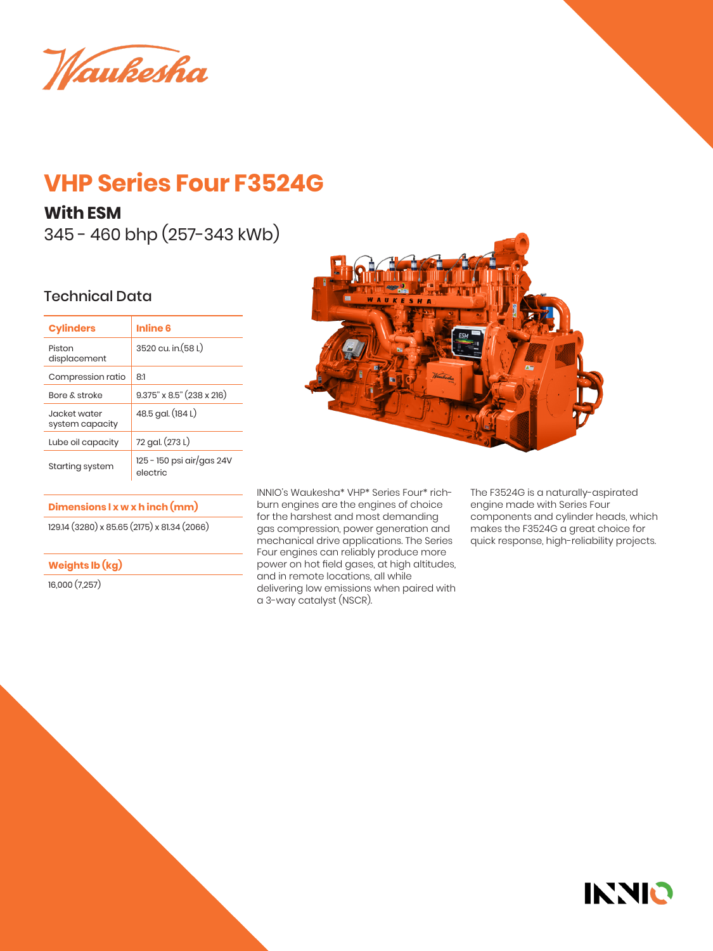Waukesha

# **VHP Series Four F3524G**

## **With ESM**

345 - 460 bhp (257-343 kWb)

## Technical Data

| <b>Cylinders</b>                 | Inline 6                              |  |
|----------------------------------|---------------------------------------|--|
| Piston<br>displacement           | 3520 cu. in. (58 L)                   |  |
| Compression ratio                | 81                                    |  |
| <b>Bore &amp; stroke</b>         | $9.375$ " x $8.5$ " (238 x 216)       |  |
| .lacket water<br>system capacity | 48.5 gal. (184 L)                     |  |
| Lube oil capacity                | 72 gal. (273 L)                       |  |
| Starting system                  | 125 - 150 psi air/gas 24V<br>electric |  |

#### **Dimensions l x w x h inch (mm)**

129.14 (3280) x 85.65 (2175) x 81.34 (2066)

### **Weights lb (kg)**

16,000 (7,257)



INNIO's Waukesha\* VHP\* Series Four\* richburn engines are the engines of choice for the harshest and most demanding gas compression, power generation and mechanical drive applications. The Series Four engines can reliably produce more power on hot field gases, at high altitudes, and in remote locations, all while delivering low emissions when paired with a 3-way catalyst (NSCR).

The F3524G is a naturally-aspirated engine made with Series Four components and cylinder heads, which makes the F3524G a great choice for quick response, high-reliability projects.